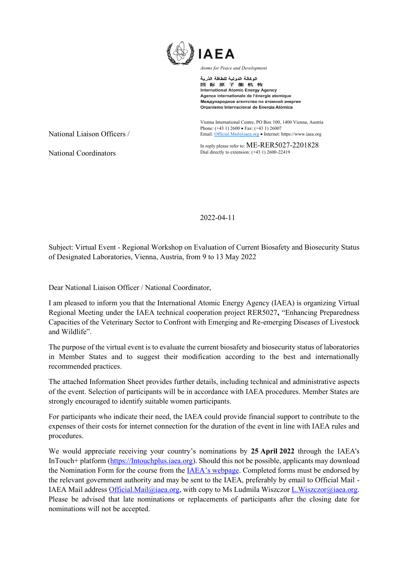

الوكالة الدولية للطاقة الذرية 国际原子能机构 **International Atomic Energy Agency** Agence internationale de l'énergie atomique Международное агентство по атомной энергии Organismo Internacional de Energía Atómica

Vienna International Centre, PO Box 100, 1400 Vienna, Austria Phone: (+43 1) 2600 • Fax: (+43 1) 26007 Email[: Official.Mail@iaea.org](mailto:official.mail@iaea.org) • Internet[: https://www.iaea.org](https://www.iaea.org/)

In reply please refer to: ME-RER5027-2201828 Dial directly to extension: (+43 1) 2600-22419

National Coordinators

National Liaison Officers /

2022-04-11

Subject: Virtual Event - Regional Workshop on Evaluation of Current Biosafety and Biosecurity Status of Designated Laboratories, Vienna, Austria, from 9 to 13 May 2022

Dear National Liaison Officer / National Coordinator,

I am pleased to inform you that the International Atomic Energy Agency (IAEA) is organizing Virtual Regional Meeting under the IAEA technical cooperation project RER5027**,** "Enhancing Preparedness Capacities of the Veterinary Sector to Confront with Emerging and Re-emerging Diseases of Livestock and Wildlife".

The purpose of the virtual event is to evaluate the current biosafety and biosecurity status of laboratories in Member States and to suggest their modification according to the best and internationally recommended practices.

The attached Information Sheet provides further details, including technical and administrative aspects of the event. Selection of participants will be in accordance with IAEA procedures. Member States are strongly encouraged to identify suitable women participants.

For participants who indicate their need, the IAEA could provide financial support to contribute to the expenses of their costs for internet connection for the duration of the event in line with IAEA rules and procedures.

We would appreciate receiving your country's nominations by **25 April 2022** through the IAEA's InTouch+ platform [\(https://Intouchplus.iaea.org\)](https://intouchplus.iaea.org/). Should this not be possible, applicants may download the Nomination Form for the course from the [IAEA's webpage](https://www.iaea.org/services/technical-cooperation-programme/how-to-participate). Completed forms must be endorsed by the relevant government authority and may be sent to the IAEA, preferably by email to Official Mail - IAEA Mail address [Official.Mail@iaea.org,](mailto:Official.Mail@iaea.org) with copy to Ms Ludmila Wiszczor L.Wiszczor@iaea.org. Please be advised that late nominations or replacements of participants after the closing date for nominations will not be accepted.